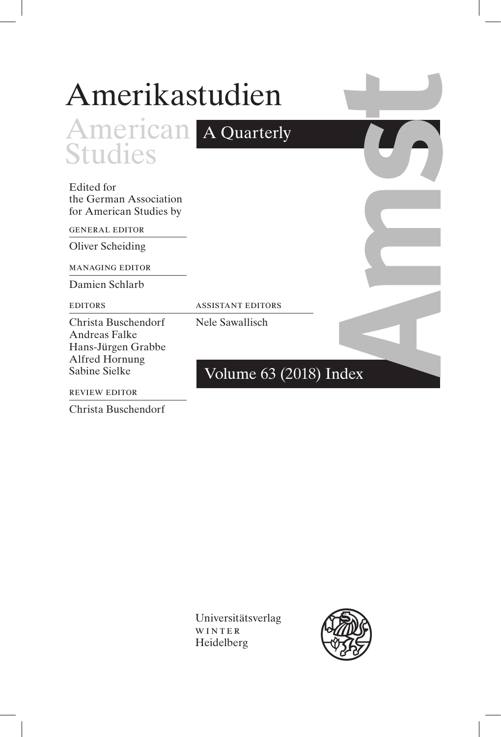| Amerikastudien<br>American A Quarterly                          |                          |  |
|-----------------------------------------------------------------|--------------------------|--|
| <b>Studies</b>                                                  |                          |  |
| Edited for<br>the German Association<br>for American Studies by |                          |  |
| <b>GENERAL EDITOR</b>                                           |                          |  |
| Oliver Scheiding                                                |                          |  |
| <b>MANAGING EDITOR</b>                                          |                          |  |
| Damien Schlarb                                                  |                          |  |
| <b>EDITORS</b>                                                  | <b>ASSISTANT EDITORS</b> |  |
| Christa Buschendorf<br>Andreas Falke<br>Hans-Jürgen Grabbe      | Nele Sawallisch          |  |
| Alfred Hornung<br>Sabine Sielke                                 | Volume 63 (2018) Index   |  |
| <b>REVIEW EDITOR</b>                                            |                          |  |

Christa Buschendorf

 $\overline{\phantom{a}}$ 

Universitätsverlag winter. Heidelberg

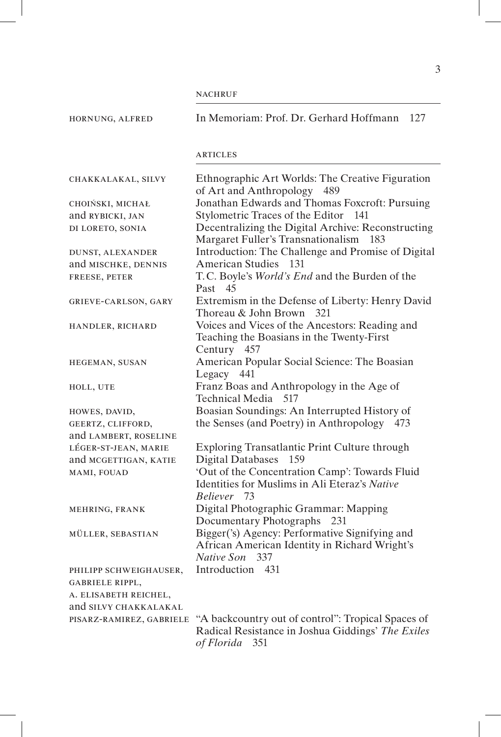| HORNUNG, ALFRED          | In Memoriam: Prof. Dr. Gerhard Hoffmann<br>127                                                                               |
|--------------------------|------------------------------------------------------------------------------------------------------------------------------|
|                          | <b>ARTICLES</b>                                                                                                              |
| CHAKKALAKAL, SILVY       | Ethnographic Art Worlds: The Creative Figuration<br>of Art and Anthropology 489                                              |
| CHOIŃSKI, MICHAŁ         | Jonathan Edwards and Thomas Foxcroft: Pursuing                                                                               |
| and RYBICKI, JAN         | Stylometric Traces of the Editor<br>141                                                                                      |
| DI LORETO, SONIA         | Decentralizing the Digital Archive: Reconstructing<br>Margaret Fuller's Transnationalism<br>183                              |
| DUNST, ALEXANDER         | Introduction: The Challenge and Promise of Digital                                                                           |
| and MISCHKE, DENNIS      | American Studies 131                                                                                                         |
| FREESE, PETER            | T.C. Boyle's World's End and the Burden of the<br>Past 45                                                                    |
| GRIEVE-CARLSON, GARY     | Extremism in the Defense of Liberty: Henry David<br>Thoreau & John Brown<br>321                                              |
| HANDLER, RICHARD         | Voices and Vices of the Ancestors: Reading and<br>Teaching the Boasians in the Twenty-First<br>Century 457                   |
| HEGEMAN, SUSAN           | American Popular Social Science: The Boasian<br>Legacy 441                                                                   |
| HOLL, UTE                | Franz Boas and Anthropology in the Age of<br>Technical Media<br>517                                                          |
| HOWES, DAVID,            | Boasian Soundings: An Interrupted History of                                                                                 |
| GEERTZ, CLIFFORD,        | the Senses (and Poetry) in Anthropology<br>473                                                                               |
| and LAMBERT, ROSELINE    |                                                                                                                              |
| LÉGER-ST-JEAN, MARIE     | Exploring Transatlantic Print Culture through                                                                                |
| and MCGETTIGAN, KATIE    | <b>Digital Databases</b><br>159                                                                                              |
| MAMI, FOUAD              | 'Out of the Concentration Camp': Towards Fluid<br>Identities for Muslims in Ali Eteraz's Native<br>Believer 73               |
| MEHRING, FRANK           | Digital Photographic Grammar: Mapping<br>Documentary Photographs<br>231                                                      |
| MÜLLER, SEBASTIAN        | Bigger('s) Agency: Performative Signifying and<br>African American Identity in Richard Wright's<br>Native Son 337            |
| PHILIPP SCHWEIGHAUSER,   | Introduction<br>431                                                                                                          |
| GABRIELE RIPPL,          |                                                                                                                              |
| A. ELISABETH REICHEL,    |                                                                                                                              |
| and SILVY CHAKKALAKAL    |                                                                                                                              |
| PISARZ-RAMIREZ, GABRIELE | "A backcountry out of control": Tropical Spaces of<br>Radical Resistance in Joshua Giddings' The Exiles<br>of Florida<br>351 |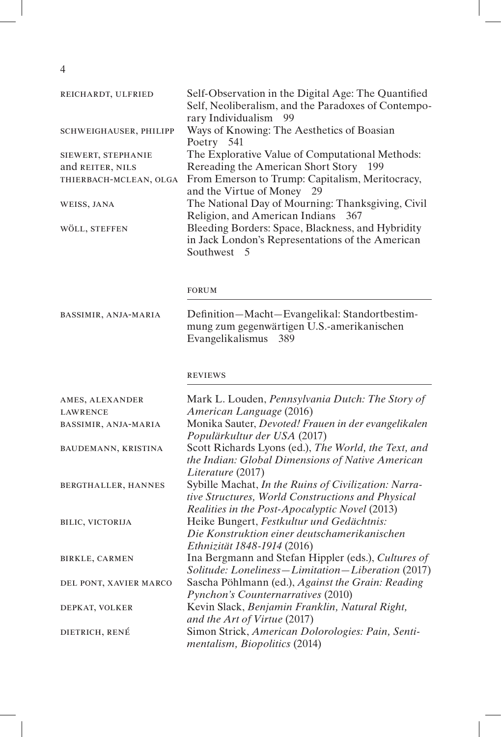$\overline{4}$ 

|                                                                  | Self-Observation in the Digital Age: The Quantified<br>Self, Neoliberalism, and the Paradoxes of Contempo-                                   |
|------------------------------------------------------------------|----------------------------------------------------------------------------------------------------------------------------------------------|
| SCHWEIGHAUSER, PHILIPP                                           | rary Individualism<br>99<br>Ways of Knowing: The Aesthetics of Boasian<br>Poetry 541                                                         |
| SIEWERT, STEPHANIE<br>and REITER, NILS<br>THIERBACH-MCLEAN, OLGA | The Explorative Value of Computational Methods:<br>Rereading the American Short Story 199<br>From Emerson to Trump: Capitalism, Meritocracy, |
| WEISS, JANA                                                      | and the Virtue of Money<br>29<br>The National Day of Mourning: Thanksgiving, Civil<br>Religion, and American Indians 367                     |
| WÖLL, STEFFEN                                                    | Bleeding Borders: Space, Blackness, and Hybridity<br>in Jack London's Representations of the American<br>Southwest 5                         |
|                                                                  | <b>FORUM</b>                                                                                                                                 |
| BASSIMIR, ANJA-MARIA                                             | Definition-Macht-Evangelikal: Standortbestim-<br>mung zum gegenwärtigen U.S.-amerikanischen<br>Evangelikalismus<br>389                       |
|                                                                  | <b>REVIEWS</b>                                                                                                                               |
| AMES, ALEXANDER<br><b>LAWRENCE</b>                               | Mark L. Louden, Pennsylvania Dutch: The Story of<br>American Language (2016)                                                                 |
| BASSIMIR, ANJA-MARIA                                             | Monika Sauter, Devoted! Frauen in der evangelikalen                                                                                          |
|                                                                  |                                                                                                                                              |
| BAUDEMANN, KRISTINA                                              | Populärkultur der USA (2017)<br>Scott Richards Lyons (ed.), The World, the Text, and<br>the Indian: Global Dimensions of Native American     |
| BERGTHALLER, HANNES                                              | Literature (2017)<br>Sybille Machat, In the Ruins of Civilization: Narra-<br>tive Structures, World Constructions and Physical               |
| BILIC, VICTORIJA                                                 | Realities in the Post-Apocalyptic Novel (2013)<br>Heike Bungert, Festkultur und Gedächtnis:<br>Die Konstruktion einer deutschamerikanischen  |
| <b>BIRKLE, CARMEN</b>                                            | Ethnizität 1848-1914 (2016)<br>Ina Bergmann and Stefan Hippler (eds.), Cultures of                                                           |
| DEL PONT, XAVIER MARCO                                           | Solitude: Loneliness-Limitation-Liberation (2017)<br>Sascha Pöhlmann (ed.), Against the Grain: Reading<br>Pynchon's Counternarratives (2010) |
| DEPKAT, VOLKER                                                   | Kevin Slack, Benjamin Franklin, Natural Right,<br>and the Art of Virtue (2017)                                                               |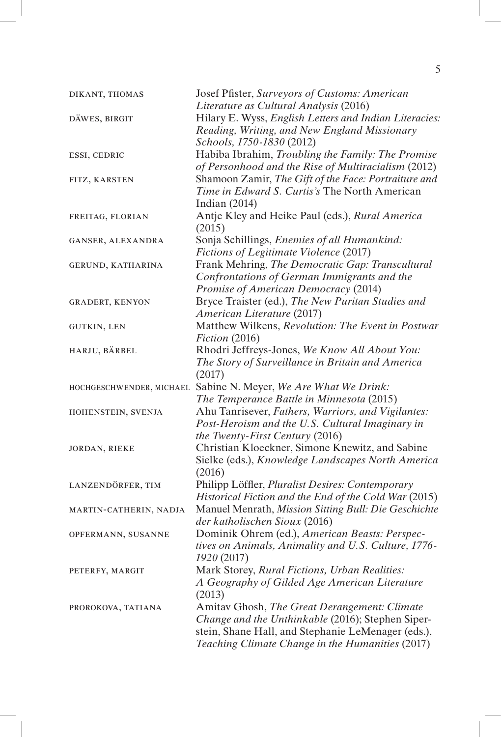| DIKANT, THOMAS         | Josef Pfister, Surveyors of Customs: American                   |
|------------------------|-----------------------------------------------------------------|
|                        | Literature as Cultural Analysis (2016)                          |
| DÄWES, BIRGIT          | Hilary E. Wyss, English Letters and Indian Literacies:          |
|                        | Reading, Writing, and New England Missionary                    |
|                        | Schools, 1750-1830 (2012)                                       |
| ESSI, CEDRIC           | Habiba Ibrahim, Troubling the Family: The Promise               |
|                        | of Personhood and the Rise of Multiracialism (2012)             |
| FITZ, KARSTEN          | Shamoon Zamir, The Gift of the Face: Portraiture and            |
|                        | Time in Edward S. Curtis's The North American                   |
|                        | Indian $(2014)$                                                 |
| FREITAG, FLORIAN       | Antje Kley and Heike Paul (eds.), Rural America                 |
|                        | (2015)                                                          |
| GANSER, ALEXANDRA      | Sonja Schillings, Enemies of all Humankind:                     |
|                        | Fictions of Legitimate Violence (2017)                          |
| GERUND, KATHARINA      | Frank Mehring, The Democratic Gap: Transcultural                |
|                        | Confrontations of German Immigrants and the                     |
|                        | Promise of American Democracy (2014)                            |
| <b>GRADERT, KENYON</b> | Bryce Traister (ed.), The New Puritan Studies and               |
|                        | American Literature (2017)                                      |
| <b>GUTKIN, LEN</b>     | Matthew Wilkens, Revolution: The Event in Postwar               |
|                        | Fiction (2016)                                                  |
| HARJU, BÄRBEL          | Rhodri Jeffreys-Jones, We Know All About You:                   |
|                        | The Story of Surveillance in Britain and America                |
|                        | (2017)                                                          |
|                        | HOCHGESCHWENDER, MICHAEL Sabine N. Meyer, We Are What We Drink: |
|                        | The Temperance Battle in Minnesota (2015)                       |
| HOHENSTEIN, SVENJA     | Ahu Tanrisever, Fathers, Warriors, and Vigilantes:              |
|                        | Post-Heroism and the U.S. Cultural Imaginary in                 |
|                        | the Twenty-First Century (2016)                                 |
| JORDAN, RIEKE          | Christian Kloeckner, Simone Knewitz, and Sabine                 |
|                        | Sielke (eds.), Knowledge Landscapes North America               |
|                        | (2016)                                                          |
| LANZENDÖRFER, TIM      | Philipp Löffler, Pluralist Desires: Contemporary                |
|                        | Historical Fiction and the End of the Cold War (2015)           |
|                        |                                                                 |
| MARTIN-CATHERIN, NADJA | Manuel Menrath, Mission Sitting Bull: Die Geschichte            |
|                        | der katholischen Sioux (2016)                                   |
| OPFERMANN, SUSANNE     | Dominik Ohrem (ed.), American Beasts: Perspec-                  |
|                        | tives on Animals, Animality and U.S. Culture, 1776-             |
|                        | 1920 (2017)                                                     |
| PETERFY, MARGIT        | Mark Storey, Rural Fictions, Urban Realities:                   |
|                        | A Geography of Gilded Age American Literature                   |
|                        | (2013)                                                          |
| PROROKOVA, TATIANA     | Amitav Ghosh, The Great Derangement: Climate                    |
|                        | Change and the Unthinkable (2016); Stephen Siper-               |
|                        | stein, Shane Hall, and Stephanie LeMenager (eds.),              |
|                        | Teaching Climate Change in the Humanities (2017)                |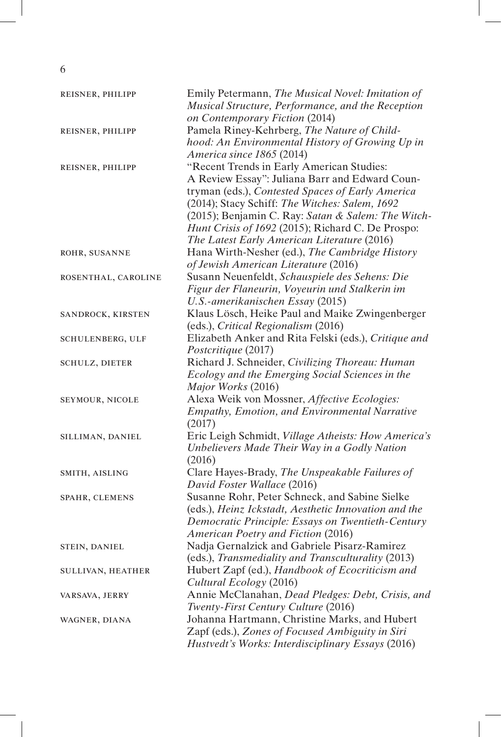6

| REISNER, PHILIPP        | Emily Petermann, The Musical Novel: Imitation of<br>Musical Structure, Performance, and the Reception<br>on Contemporary Fiction (2014)                                                                                                                                                                                                                     |
|-------------------------|-------------------------------------------------------------------------------------------------------------------------------------------------------------------------------------------------------------------------------------------------------------------------------------------------------------------------------------------------------------|
| REISNER, PHILIPP        | Pamela Riney-Kehrberg, The Nature of Child-<br>hood: An Environmental History of Growing Up in<br>America since 1865 (2014)                                                                                                                                                                                                                                 |
| REISNER, PHILIPP        | "Recent Trends in Early American Studies:<br>A Review Essay": Juliana Barr and Edward Coun-<br>tryman (eds.), Contested Spaces of Early America<br>(2014); Stacy Schiff: The Witches: Salem, 1692<br>(2015); Benjamin C. Ray: Satan & Salem: The Witch-<br>Hunt Crisis of 1692 (2015); Richard C. De Prospo:<br>The Latest Early American Literature (2016) |
| ROHR, SUSANNE           | Hana Wirth-Nesher (ed.), The Cambridge History<br>of Jewish American Literature (2016)                                                                                                                                                                                                                                                                      |
| ROSENTHAL, CAROLINE     | Susann Neuenfeldt, Schauspiele des Sehens: Die<br>Figur der Flaneurin, Voyeurin und Stalkerin im<br>U.S.-amerikanischen Essay (2015)                                                                                                                                                                                                                        |
| SANDROCK, KIRSTEN       | Klaus Lösch, Heike Paul and Maike Zwingenberger<br>(eds.), Critical Regionalism (2016)                                                                                                                                                                                                                                                                      |
| <b>SCHULENBERG, ULF</b> | Elizabeth Anker and Rita Felski (eds.), Critique and<br>Postcritique (2017)                                                                                                                                                                                                                                                                                 |
| SCHULZ, DIETER          | Richard J. Schneider, Civilizing Thoreau: Human<br>Ecology and the Emerging Social Sciences in the<br>Major Works (2016)                                                                                                                                                                                                                                    |
| SEYMOUR, NICOLE         | Alexa Weik von Mossner, Affective Ecologies:<br><b>Empathy, Emotion, and Environmental Narrative</b><br>(2017)                                                                                                                                                                                                                                              |
| SILLIMAN, DANIEL        | Eric Leigh Schmidt, Village Atheists: How America's<br>Unbelievers Made Their Way in a Godly Nation<br>(2016)                                                                                                                                                                                                                                               |
| SMITH, AISLING          | Clare Hayes-Brady, The Unspeakable Failures of<br>David Foster Wallace (2016)                                                                                                                                                                                                                                                                               |
| SPAHR, CLEMENS          | Susanne Rohr, Peter Schneck, and Sabine Sielke<br>(eds.), Heinz Ickstadt, Aesthetic Innovation and the<br>Democratic Principle: Essays on Twentieth-Century<br>American Poetry and Fiction (2016)                                                                                                                                                           |
| STEIN, DANIEL           | Nadja Gernalzick and Gabriele Pisarz-Ramirez<br>(eds.), Transmediality and Transculturality (2013)                                                                                                                                                                                                                                                          |
| SULLIVAN, HEATHER       | Hubert Zapf (ed.), Handbook of Ecocriticism and<br>Cultural Ecology (2016)                                                                                                                                                                                                                                                                                  |
| VARSAVA, JERRY          | Annie McClanahan, Dead Pledges: Debt, Crisis, and<br>Twenty-First Century Culture (2016)                                                                                                                                                                                                                                                                    |
| WAGNER, DIANA           | Johanna Hartmann, Christine Marks, and Hubert<br>Zapf (eds.), Zones of Focused Ambiguity in Siri<br>Hustvedt's Works: Interdisciplinary Essays (2016)                                                                                                                                                                                                       |